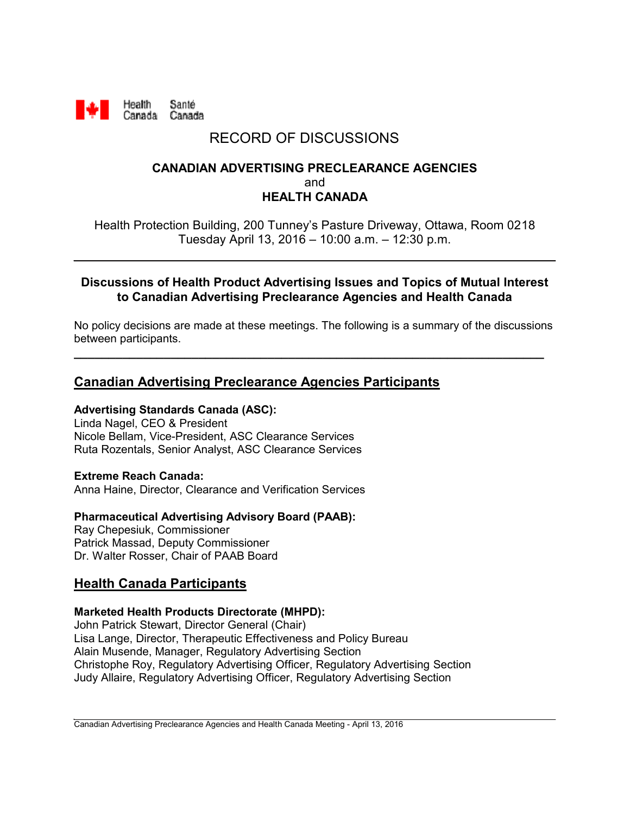

# RECORD OF DISCUSSIONS

## **CANADIAN ADVERTISING PRECLEARANCE AGENCIES** and **HEALTH CANADA**

Health Protection Building, 200 Tunney's Pasture Driveway, Ottawa, Room 0218 Tuesday April 13, 2016 – 10:00 a.m. – 12:30 p.m.

### **Discussions of Health Product Advertising Issues and Topics of Mutual Interest to Canadian Advertising Preclearance Agencies and Health Canada**

No policy decisions are made at these meetings. The following is a summary of the discussions between participants.

**\_\_\_\_\_\_\_\_\_\_\_\_\_\_\_\_\_\_\_\_\_\_\_\_\_\_\_\_\_\_\_\_\_\_\_\_\_\_\_\_\_\_\_\_\_\_\_\_\_\_\_\_\_\_\_\_\_\_\_\_\_\_\_\_\_\_\_\_**

# **Canadian Advertising Preclearance Agencies Participants**

## **Advertising Standards Canada (ASC):**

Linda Nagel, CEO & President Nicole Bellam, Vice-President, ASC Clearance Services Ruta Rozentals, Senior Analyst, ASC Clearance Services

# **Extreme Reach Canada:**

Anna Haine, Director, Clearance and Verification Services

## **Pharmaceutical Advertising Advisory Board (PAAB):**

Ray Chepesiuk, Commissioner Patrick Massad, Deputy Commissioner Dr. Walter Rosser, Chair of PAAB Board

# **Health Canada Participants**

#### **Marketed Health Products Directorate (MHPD):**

John Patrick Stewart, Director General (Chair) Lisa Lange, Director, Therapeutic Effectiveness and Policy Bureau Alain Musende, Manager, Regulatory Advertising Section Christophe Roy, Regulatory Advertising Officer, Regulatory Advertising Section Judy Allaire, Regulatory Advertising Officer, Regulatory Advertising Section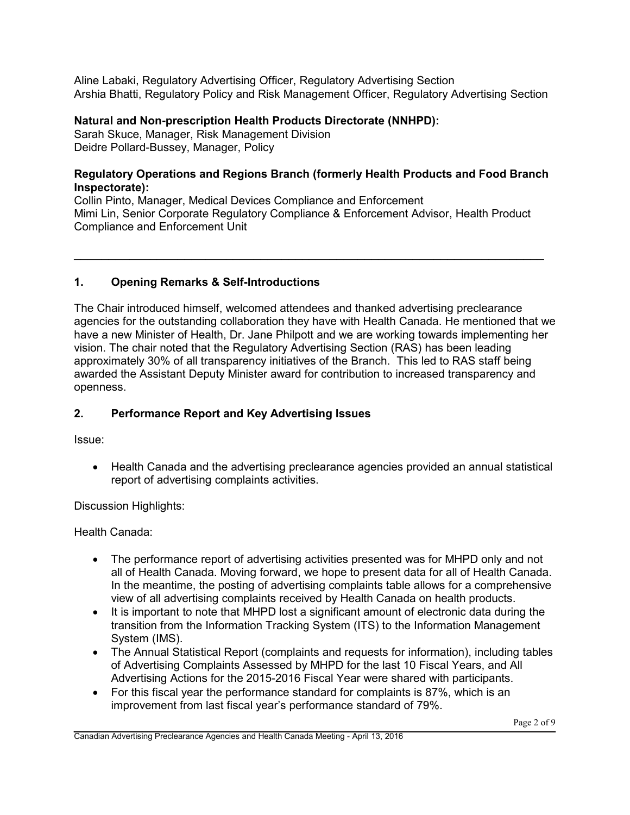Aline Labaki, Regulatory Advertising Officer, Regulatory Advertising Section Arshia Bhatti, Regulatory Policy and Risk Management Officer, Regulatory Advertising Section

#### **Natural and Non-prescription Health Products Directorate (NNHPD):**

Sarah Skuce, Manager, Risk Management Division Deidre Pollard-Bussey, Manager, Policy

#### **Regulatory Operations and Regions Branch (formerly Health Products and Food Branch Inspectorate):**

Collin Pinto, Manager, Medical Devices Compliance and Enforcement Mimi Lin, Senior Corporate Regulatory Compliance & Enforcement Advisor, Health Product Compliance and Enforcement Unit

 $\mathcal{L}_\text{max} = \mathcal{L}_\text{max} = \mathcal{L}_\text{max} = \mathcal{L}_\text{max} = \mathcal{L}_\text{max} = \mathcal{L}_\text{max} = \mathcal{L}_\text{max} = \mathcal{L}_\text{max} = \mathcal{L}_\text{max} = \mathcal{L}_\text{max} = \mathcal{L}_\text{max} = \mathcal{L}_\text{max} = \mathcal{L}_\text{max} = \mathcal{L}_\text{max} = \mathcal{L}_\text{max} = \mathcal{L}_\text{max} = \mathcal{L}_\text{max} = \mathcal{L}_\text{max} = \mathcal{$ 

## **1. Opening Remarks & Self-Introductions**

The Chair introduced himself, welcomed attendees and thanked advertising preclearance agencies for the outstanding collaboration they have with Health Canada. He mentioned that we have a new Minister of Health, Dr. Jane Philpott and we are working towards implementing her vision. The chair noted that the Regulatory Advertising Section (RAS) has been leading approximately 30% of all transparency initiatives of the Branch. This led to RAS staff being awarded the Assistant Deputy Minister award for contribution to increased transparency and openness.

### **2. Performance Report and Key Advertising Issues**

Issue:

• Health Canada and the advertising preclearance agencies provided an annual statistical report of advertising complaints activities.

Discussion Highlights:

Health Canada:

- The performance report of advertising activities presented was for MHPD only and not all of Health Canada. Moving forward, we hope to present data for all of Health Canada. In the meantime, the posting of advertising complaints table allows for a comprehensive view of all advertising complaints received by Health Canada on health products.
- It is important to note that MHPD lost a significant amount of electronic data during the transition from the Information Tracking System (ITS) to the Information Management System (IMS).
- The Annual Statistical Report (complaints and requests for information), including tables of Advertising Complaints Assessed by MHPD for the last 10 Fiscal Years, and All Advertising Actions for the 2015-2016 Fiscal Year were shared with participants.
- For this fiscal year the performance standard for complaints is 87%, which is an improvement from last fiscal year's performance standard of 79%.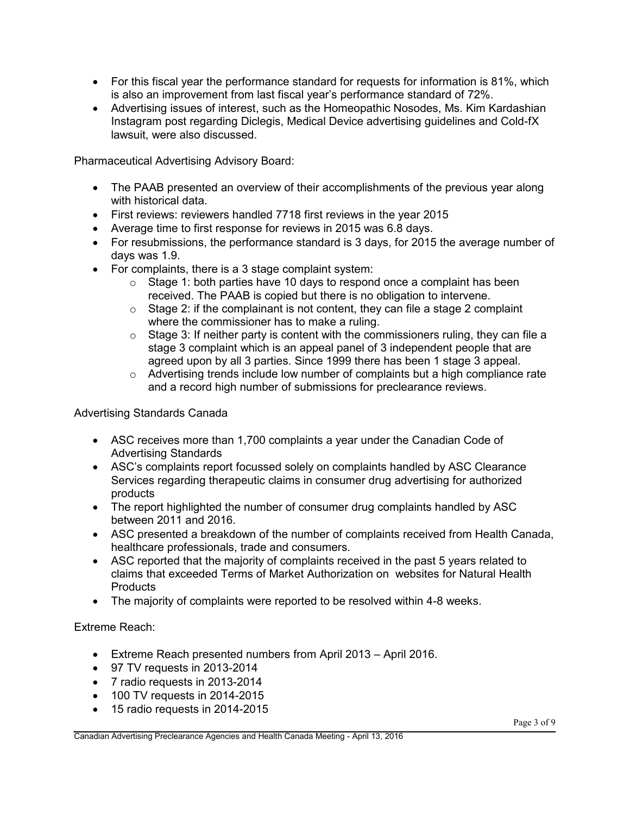- For this fiscal year the performance standard for requests for information is 81%, which is also an improvement from last fiscal year's performance standard of 72%.
- Advertising issues of interest, such as the Homeopathic Nosodes, Ms. Kim Kardashian Instagram post regarding Diclegis, Medical Device advertising guidelines and Cold-fX lawsuit, were also discussed.

Pharmaceutical Advertising Advisory Board:

- The PAAB presented an overview of their accomplishments of the previous year along with historical data.
- First reviews: reviewers handled 7718 first reviews in the year 2015
- Average time to first response for reviews in 2015 was 6.8 days.
- For resubmissions, the performance standard is 3 days, for 2015 the average number of days was 1.9.
- For complaints, there is a 3 stage complaint system:
	- $\circ$  Stage 1: both parties have 10 days to respond once a complaint has been received. The PAAB is copied but there is no obligation to intervene.
	- $\circ$  Stage 2: if the complainant is not content, they can file a stage 2 complaint where the commissioner has to make a ruling.
	- $\circ$  Stage 3: If neither party is content with the commissioners ruling, they can file a stage 3 complaint which is an appeal panel of 3 independent people that are agreed upon by all 3 parties. Since 1999 there has been 1 stage 3 appeal.
	- o Advertising trends include low number of complaints but a high compliance rate and a record high number of submissions for preclearance reviews.

Advertising Standards Canada

- ASC receives more than 1,700 complaints a year under the Canadian Code of Advertising Standards
- ASC's complaints report focussed solely on complaints handled by ASC Clearance Services regarding therapeutic claims in consumer drug advertising for authorized products
- The report highlighted the number of consumer drug complaints handled by ASC between 2011 and 2016.
- ASC presented a breakdown of the number of complaints received from Health Canada, healthcare professionals, trade and consumers.
- ASC reported that the majority of complaints received in the past 5 years related to claims that exceeded Terms of Market Authorization on websites for Natural Health Products
- The majority of complaints were reported to be resolved within 4-8 weeks.

Extreme Reach:

- Extreme Reach presented numbers from April 2013 April 2016.
- 97 TV requests in 2013-2014
- 7 radio requests in 2013-2014
- 100 TV requests in 2014-2015
- 15 radio requests in 2014-2015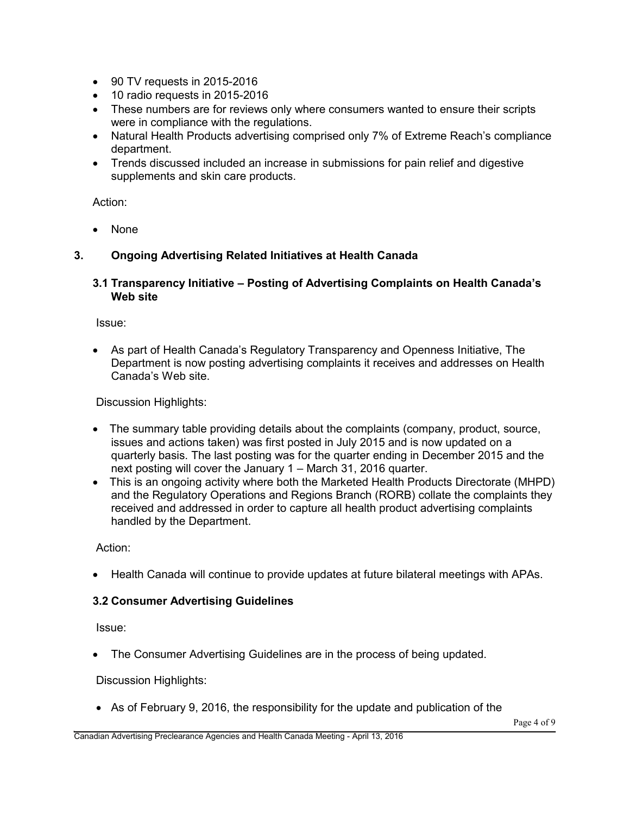- 90 TV requests in 2015-2016
- 10 radio requests in 2015-2016
- These numbers are for reviews only where consumers wanted to ensure their scripts were in compliance with the regulations.
- Natural Health Products advertising comprised only 7% of Extreme Reach's compliance department.
- Trends discussed included an increase in submissions for pain relief and digestive supplements and skin care products.

Action:

None

#### **3. Ongoing Advertising Related Initiatives at Health Canada**

#### **3.1 Transparency Initiative – Posting of Advertising Complaints on Health Canada's Web site**

Issue:

 As part of Health Canada's Regulatory Transparency and Openness Initiative, The Department is now posting advertising complaints it receives and addresses on Health Canada's Web site.

Discussion Highlights:

- The summary table providing details about the complaints (company, product, source, issues and actions taken) was first posted in July 2015 and is now updated on a quarterly basis. The last posting was for the quarter ending in December 2015 and the next posting will cover the January 1 – March 31, 2016 quarter.
- This is an ongoing activity where both the Marketed Health Products Directorate (MHPD) and the Regulatory Operations and Regions Branch (RORB) collate the complaints they received and addressed in order to capture all health product advertising complaints handled by the Department.

Action:

Health Canada will continue to provide updates at future bilateral meetings with APAs.

#### **3.2 Consumer Advertising Guidelines**

Issue:

The Consumer Advertising Guidelines are in the process of being updated.

Discussion Highlights:

As of February 9, 2016, the responsibility for the update and publication of the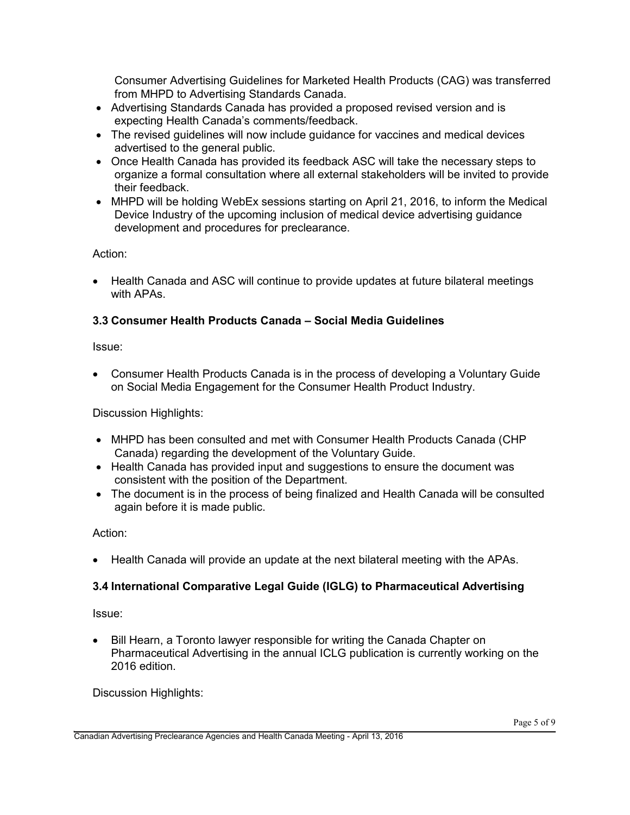Consumer Advertising Guidelines for Marketed Health Products (CAG) was transferred from MHPD to Advertising Standards Canada.

- Advertising Standards Canada has provided a proposed revised version and is expecting Health Canada's comments/feedback.
- The revised guidelines will now include guidance for vaccines and medical devices advertised to the general public.
- Once Health Canada has provided its feedback ASC will take the necessary steps to organize a formal consultation where all external stakeholders will be invited to provide their feedback.
- MHPD will be holding WebEx sessions starting on April 21, 2016, to inform the Medical Device Industry of the upcoming inclusion of medical device advertising guidance development and procedures for preclearance.

Action:

 Health Canada and ASC will continue to provide updates at future bilateral meetings with APAs.

## **3.3 Consumer Health Products Canada – Social Media Guidelines**

Issue:

 Consumer Health Products Canada is in the process of developing a Voluntary Guide on Social Media Engagement for the Consumer Health Product Industry.

Discussion Highlights:

- MHPD has been consulted and met with Consumer Health Products Canada (CHP Canada) regarding the development of the Voluntary Guide.
- Health Canada has provided input and suggestions to ensure the document was consistent with the position of the Department.
- The document is in the process of being finalized and Health Canada will be consulted again before it is made public.

Action:

Health Canada will provide an update at the next bilateral meeting with the APAs.

# **3.4 International Comparative Legal Guide (IGLG) to Pharmaceutical Advertising**

Issue:

• Bill Hearn, a Toronto lawyer responsible for writing the Canada Chapter on Pharmaceutical Advertising in the annual ICLG publication is currently working on the 2016 edition.

Discussion Highlights: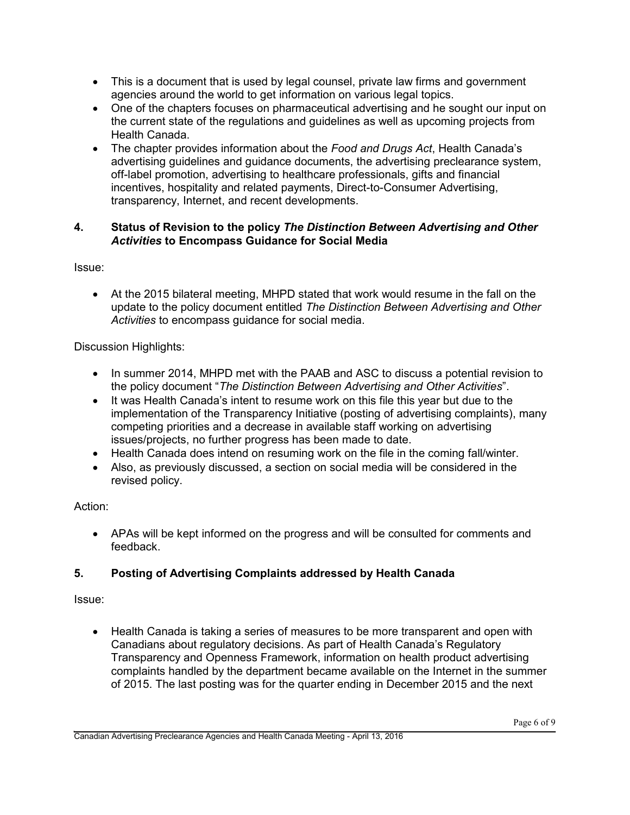- This is a document that is used by legal counsel, private law firms and government agencies around the world to get information on various legal topics.
- One of the chapters focuses on pharmaceutical advertising and he sought our input on the current state of the regulations and guidelines as well as upcoming projects from Health Canada.
- The chapter provides information about the *Food and Drugs Act*, Health Canada's advertising guidelines and guidance documents, the advertising preclearance system, off-label promotion, advertising to healthcare professionals, gifts and financial incentives, hospitality and related payments, Direct-to-Consumer Advertising, transparency, Internet, and recent developments.

## **4. Status of Revision to the policy** *The Distinction Between Advertising and Other Activities* **to Encompass Guidance for Social Media**

Issue:

 At the 2015 bilateral meeting, MHPD stated that work would resume in the fall on the update to the policy document entitled *The Distinction Between Advertising and Other Activities* to encompass guidance for social media.

Discussion Highlights:

- In summer 2014, MHPD met with the PAAB and ASC to discuss a potential revision to the policy document "*The Distinction Between Advertising and Other Activities*".
- It was Health Canada's intent to resume work on this file this year but due to the implementation of the Transparency Initiative (posting of advertising complaints), many competing priorities and a decrease in available staff working on advertising issues/projects, no further progress has been made to date.
- Health Canada does intend on resuming work on the file in the coming fall/winter.
- Also, as previously discussed, a section on social media will be considered in the revised policy.

Action:

 APAs will be kept informed on the progress and will be consulted for comments and feedback.

# **5. Posting of Advertising Complaints addressed by Health Canada**

Issue:

 Health Canada is taking a series of measures to be more transparent and open with Canadians about regulatory decisions. As part of Health Canada's Regulatory Transparency and Openness Framework, information on health product advertising complaints handled by the department became available on the Internet in the summer of 2015. The last posting was for the quarter ending in December 2015 and the next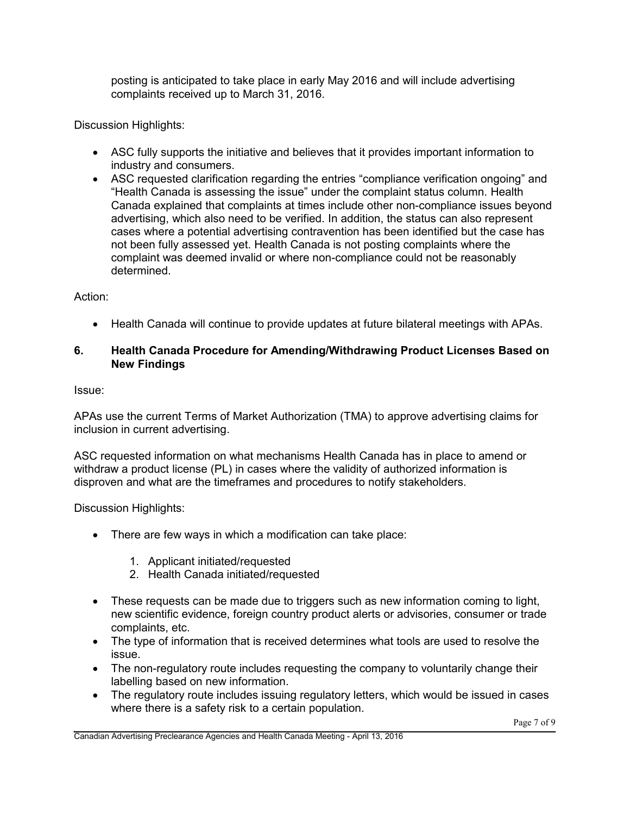posting is anticipated to take place in early May 2016 and will include advertising complaints received up to March 31, 2016.

Discussion Highlights:

- ASC fully supports the initiative and believes that it provides important information to industry and consumers.
- ASC requested clarification regarding the entries "compliance verification ongoing" and "Health Canada is assessing the issue" under the complaint status column. Health Canada explained that complaints at times include other non-compliance issues beyond advertising, which also need to be verified. In addition, the status can also represent cases where a potential advertising contravention has been identified but the case has not been fully assessed yet. Health Canada is not posting complaints where the complaint was deemed invalid or where non-compliance could not be reasonably determined.

## Action:

Health Canada will continue to provide updates at future bilateral meetings with APAs.

## **6. Health Canada Procedure for Amending/Withdrawing Product Licenses Based on New Findings**

Issue:

APAs use the current Terms of Market Authorization (TMA) to approve advertising claims for inclusion in current advertising.

ASC requested information on what mechanisms Health Canada has in place to amend or withdraw a product license (PL) in cases where the validity of authorized information is disproven and what are the timeframes and procedures to notify stakeholders.

Discussion Highlights:

- There are few ways in which a modification can take place:
	- 1. Applicant initiated/requested
	- 2. Health Canada initiated/requested
- These requests can be made due to triggers such as new information coming to light, new scientific evidence, foreign country product alerts or advisories, consumer or trade complaints, etc.
- The type of information that is received determines what tools are used to resolve the issue.
- The non-regulatory route includes requesting the company to voluntarily change their labelling based on new information.
- The regulatory route includes issuing regulatory letters, which would be issued in cases where there is a safety risk to a certain population.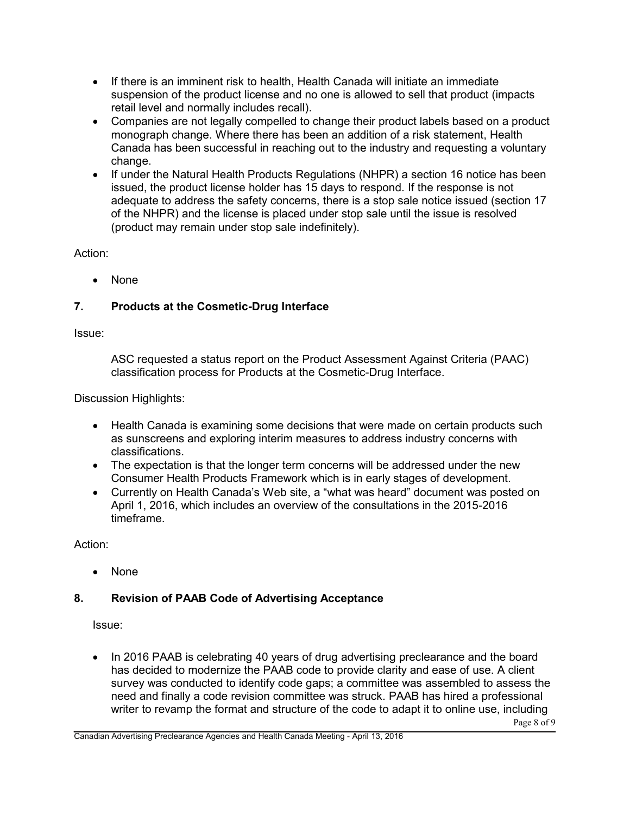- If there is an imminent risk to health, Health Canada will initiate an immediate suspension of the product license and no one is allowed to sell that product (impacts retail level and normally includes recall).
- Companies are not legally compelled to change their product labels based on a product monograph change. Where there has been an addition of a risk statement, Health Canada has been successful in reaching out to the industry and requesting a voluntary change.
- If under the Natural Health Products Regulations (NHPR) a section 16 notice has been issued, the product license holder has 15 days to respond. If the response is not adequate to address the safety concerns, there is a stop sale notice issued (section 17 of the NHPR) and the license is placed under stop sale until the issue is resolved (product may remain under stop sale indefinitely).

Action:

• None

# **7. Products at the Cosmetic-Drug Interface**

Issue:

ASC requested a status report on the Product Assessment Against Criteria (PAAC) classification process for Products at the Cosmetic-Drug Interface.

Discussion Highlights:

- Health Canada is examining some decisions that were made on certain products such as sunscreens and exploring interim measures to address industry concerns with classifications.
- The expectation is that the longer term concerns will be addressed under the new Consumer Health Products Framework which is in early stages of development.
- Currently on Health Canada's Web site, a "what was heard" document was posted on April 1, 2016, which includes an overview of the consultations in the 2015-2016 timeframe.

Action:

• None

## **8. Revision of PAAB Code of Advertising Acceptance**

Issue:

Page 8 of 9 • In 2016 PAAB is celebrating 40 years of drug advertising preclearance and the board has decided to modernize the PAAB code to provide clarity and ease of use. A client survey was conducted to identify code gaps; a committee was assembled to assess the need and finally a code revision committee was struck. PAAB has hired a professional writer to revamp the format and structure of the code to adapt it to online use, including